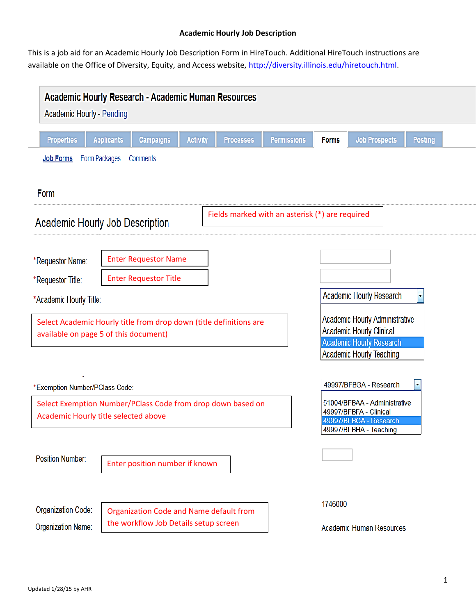# **Academic Hourly Job Description**

This is a job aid for an Academic Hourly Job Description Form in HireTouch. Additional HireTouch instructions are available on the Office of Diversity, Equity, and Access website, [http://diversity.illinois.edu/hiretouch.html.](http://diversity.illinois.edu/hiretouch.html)

| <b>Academic Hourly Research - Academic Human Resources</b><br><b>Academic Hourly - Pending</b>                                         |                          |                                                                                  |                 |                  |                    |                                                                                                            |                                                                                                                                         |                |  |
|----------------------------------------------------------------------------------------------------------------------------------------|--------------------------|----------------------------------------------------------------------------------|-----------------|------------------|--------------------|------------------------------------------------------------------------------------------------------------|-----------------------------------------------------------------------------------------------------------------------------------------|----------------|--|
| <b>Properties</b>                                                                                                                      | <b>Applicants</b>        | <b>Campaigns</b>                                                                 | <b>Activity</b> | <b>Processes</b> | <b>Permissions</b> | <b>Forms</b>                                                                                               | <b>Job Prospects</b>                                                                                                                    | <b>Posting</b> |  |
| Job Forms                                                                                                                              | Form Packages   Comments |                                                                                  |                 |                  |                    |                                                                                                            |                                                                                                                                         |                |  |
| Form                                                                                                                                   |                          |                                                                                  |                 |                  |                    |                                                                                                            |                                                                                                                                         |                |  |
| Fields marked with an asterisk (*) are required<br>Academic Hourly Job Description                                                     |                          |                                                                                  |                 |                  |                    |                                                                                                            |                                                                                                                                         |                |  |
| *Requestor Name:                                                                                                                       |                          | <b>Enter Requestor Name</b>                                                      |                 |                  |                    |                                                                                                            |                                                                                                                                         |                |  |
| <b>Enter Requestor Title</b><br>*Requestor Title:<br>Academic Hourly Research                                                          |                          |                                                                                  |                 |                  |                    |                                                                                                            |                                                                                                                                         |                |  |
| *Academic Hourly Title:<br>Select Academic Hourly title from drop down (title definitions are<br>available on page 5 of this document) |                          |                                                                                  |                 |                  |                    |                                                                                                            | <b>Academic Hourly Administrative</b><br><b>Academic Hourly Clinical</b><br><b>Academic Hourly Research</b><br>Academic Hourly Teaching |                |  |
| *Exemption Number/PClass Code:<br>Select Exemption Number/PClass Code from drop down based on<br>Academic Hourly title selected above  |                          |                                                                                  |                 |                  |                    | 49997/BFBGA - Research<br>51004/BFBAA - Administrative<br>49997/BFBFA - Clinical<br>49997/BFBGA - Research |                                                                                                                                         |                |  |
| Position Number:                                                                                                                       |                          | Enter position number if known                                                   |                 |                  |                    |                                                                                                            | 49997/BFBHA - Teaching                                                                                                                  |                |  |
| Organization Code:<br>Organization Name:                                                                                               |                          | Organization Code and Name default from<br>the workflow Job Details setup screen |                 |                  |                    | 1746000                                                                                                    | <b>Academic Human Resources</b>                                                                                                         |                |  |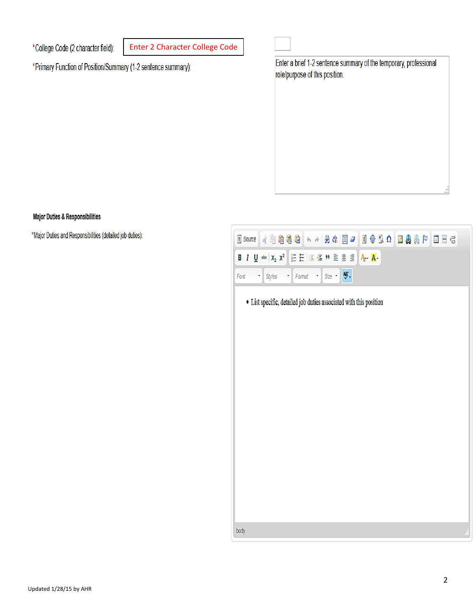Updated 1/28/15 by AHR

### Enter 2 Character College Code\*College Code (2 character field):

\*Primary Function of Position/Summary (1-2 sentence summary):

# Enter a brief 1-2 sentence summary of the temporary, professional role/purpose of this position.

(←→ | # & | E 2 | E + B Ω | B & A P | E = 5

# Major Duties & Responsibilities

\*Major Duties and Responsibilities (detailed job duties):

| • List specific, detailed job duties associated with this position |  |  |  |  |  |  |  |  |
|--------------------------------------------------------------------|--|--|--|--|--|--|--|--|
|                                                                    |  |  |  |  |  |  |  |  |
|                                                                    |  |  |  |  |  |  |  |  |

|日日|住宿サミミョ||A<mark>.・A</mark>・

 $Size \rightarrow \frac{ABC}{C}$ 

body



目Source ● 自己的面

 $\cdot$  Styles

 $\cdot$  Format

 $\mathcal{A}$ 

**B**  $I$  **U** abe  $x_2$   $x^2$ 

Font

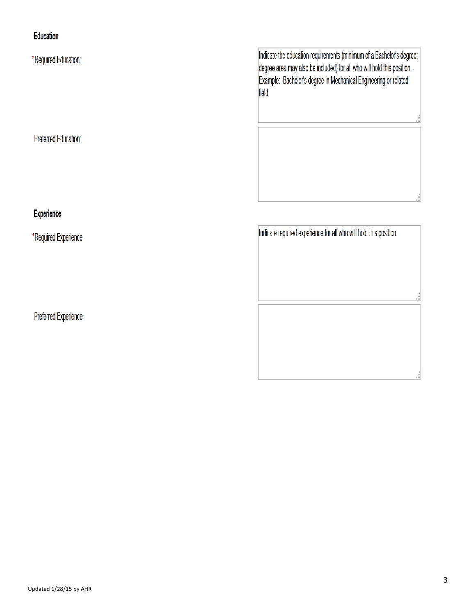# Education

\*Required Education:

Preferred Education:

# Experience

\*Required Experience

Preferred Experience

Indicate the education requirements (minimum of a Bachelor's degree; degree area may also be included) for all who will hold this position. Example: Bachelor's degree in Mechanical Engineering or related field.

Indicate required experience for all who will hold this position.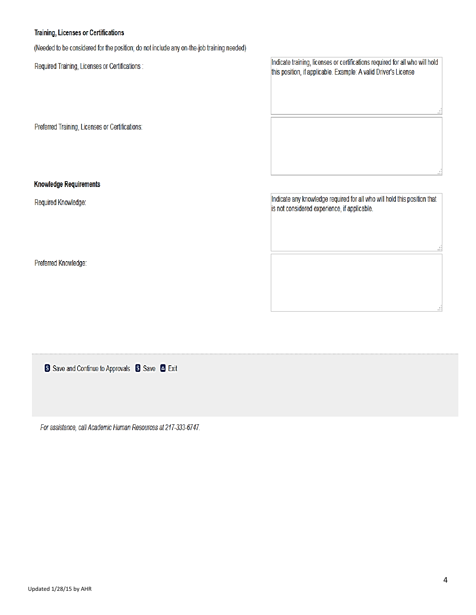### Training, Licenses or Certifications

(Needed to be considered for the position; do not include any on-the-job training needed)

Required Training, Licenses or Certifications :

Preferred Training, Licenses or Certifications:

Indicate training, licenses or certifications required for all who will hold this position, if applicable. Example: A valid Driver's License

# **Knowledge Requirements**

Required Knowledge:

Indicate any knowledge required for all who will hold this position that is not considered experience, if applicable.

Preferred Knowledge:

| Si Save and Continue to Approvals Si Save & Exit |  |  |  |
|--------------------------------------------------|--|--|--|
|                                                  |  |  |  |
|                                                  |  |  |  |

For assistance, call Academic Human Resources at 217-333-6747.